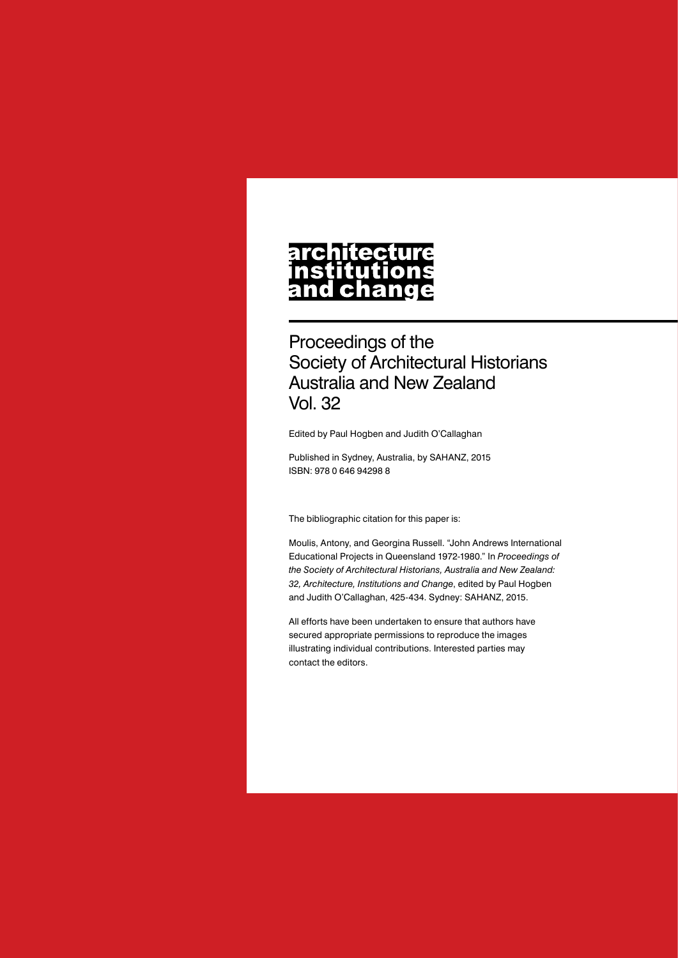# architecture nstitutions<br>and change

Proceedings of the Society of Architectural Historians Australia and New Zealand Vol. 32

Edited by Paul Hogben and Judith O'Callaghan

Published in Sydney, Australia, by SAHANZ, 2015 ISBN: 978 0 646 94298 8

The bibliographic citation for this paper is:

Moulis, Antony, and Georgina Russell. "John Andrews International Educational Projects in Queensland 1972-1980." In *Proceedings of the Society of Architectural Historians, Australia and New Zealand: 32, Architecture, Institutions and Change*, edited by Paul Hogben and Judith O'Callaghan, 425-434. Sydney: SAHANZ, 2015.

All efforts have been undertaken to ensure that authors have secured appropriate permissions to reproduce the images illustrating individual contributions. Interested parties may contact the editors.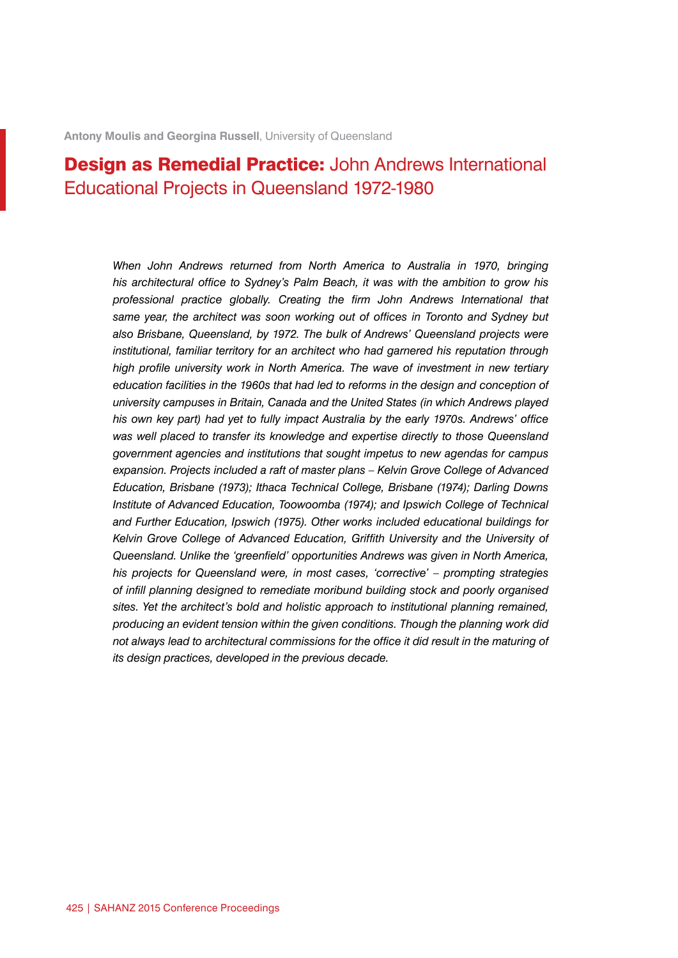# **Design as Remedial Practice:** John Andrews International Educational Projects in Queensland 1972-1980

*When John Andrews returned from North America to Australia in 1970, bringing his architectural office to Sydney's Palm Beach, it was with the ambition to grow his professional practice globally. Creating the firm John Andrews International that same year, the architect was soon working out of offices in Toronto and Sydney but also Brisbane, Queensland, by 1972. The bulk of Andrews' Queensland projects were institutional, familiar territory for an architect who had garnered his reputation through high profile university work in North America. The wave of investment in new tertiary*  education facilities in the 1960s that had led to reforms in the design and conception of *university campuses in Britain, Canada and the United States (in which Andrews played his own key part) had yet to fully impact Australia by the early 1970s. Andrews' office*  was well placed to transfer its knowledge and expertise directly to those Queensland *government agencies and institutions that sought impetus to new agendas for campus expansion. Projects included a raft of master plans – Kelvin Grove College of Advanced Education, Brisbane (1973); Ithaca Technical College, Brisbane (1974); Darling Downs Institute of Advanced Education, Toowoomba (1974); and Ipswich College of Technical and Further Education, Ipswich (1975). Other works included educational buildings for Kelvin Grove College of Advanced Education, Griffith University and the University of Queensland. Unlike the 'greenfield' opportunities Andrews was given in North America, his projects for Queensland were, in most cases, 'corrective' – prompting strategies of infill planning designed to remediate moribund building stock and poorly organised sites. Yet the architect's bold and holistic approach to institutional planning remained, producing an evident tension within the given conditions. Though the planning work did not always lead to architectural commissions for the office it did result in the maturing of its design practices, developed in the previous decade.*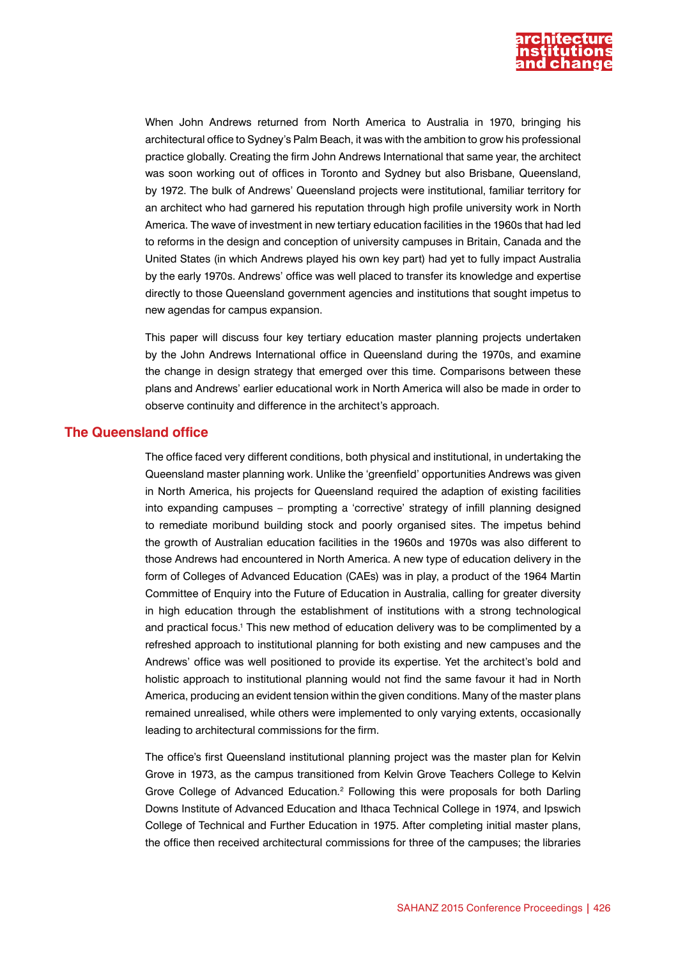

When John Andrews returned from North America to Australia in 1970, bringing his architectural office to Sydney's Palm Beach, it was with the ambition to grow his professional practice globally. Creating the firm John Andrews International that same year, the architect was soon working out of offices in Toronto and Sydney but also Brisbane, Queensland, by 1972. The bulk of Andrews' Queensland projects were institutional, familiar territory for an architect who had garnered his reputation through high profile university work in North America. The wave of investment in new tertiary education facilities in the 1960s that had led to reforms in the design and conception of university campuses in Britain, Canada and the United States (in which Andrews played his own key part) had yet to fully impact Australia by the early 1970s. Andrews' office was well placed to transfer its knowledge and expertise directly to those Queensland government agencies and institutions that sought impetus to new agendas for campus expansion.

This paper will discuss four key tertiary education master planning projects undertaken by the John Andrews International office in Queensland during the 1970s, and examine the change in design strategy that emerged over this time. Comparisons between these plans and Andrews' earlier educational work in North America will also be made in order to observe continuity and difference in the architect's approach.

## **The Queensland office**

The office faced very different conditions, both physical and institutional, in undertaking the Queensland master planning work. Unlike the 'greenfield' opportunities Andrews was given in North America, his projects for Queensland required the adaption of existing facilities into expanding campuses – prompting a 'corrective' strategy of infill planning designed to remediate moribund building stock and poorly organised sites. The impetus behind the growth of Australian education facilities in the 1960s and 1970s was also different to those Andrews had encountered in North America. A new type of education delivery in the form of Colleges of Advanced Education (CAEs) was in play, a product of the 1964 Martin Committee of Enquiry into the Future of Education in Australia, calling for greater diversity in high education through the establishment of institutions with a strong technological and practical focus.<sup>1</sup> This new method of education delivery was to be complimented by a refreshed approach to institutional planning for both existing and new campuses and the Andrews' office was well positioned to provide its expertise. Yet the architect's bold and holistic approach to institutional planning would not find the same favour it had in North America, producing an evident tension within the given conditions. Many of the master plans remained unrealised, while others were implemented to only varying extents, occasionally leading to architectural commissions for the firm.

The office's first Queensland institutional planning project was the master plan for Kelvin Grove in 1973, as the campus transitioned from Kelvin Grove Teachers College to Kelvin Grove College of Advanced Education.<sup>2</sup> Following this were proposals for both Darling Downs Institute of Advanced Education and Ithaca Technical College in 1974, and Ipswich College of Technical and Further Education in 1975. After completing initial master plans, the office then received architectural commissions for three of the campuses; the libraries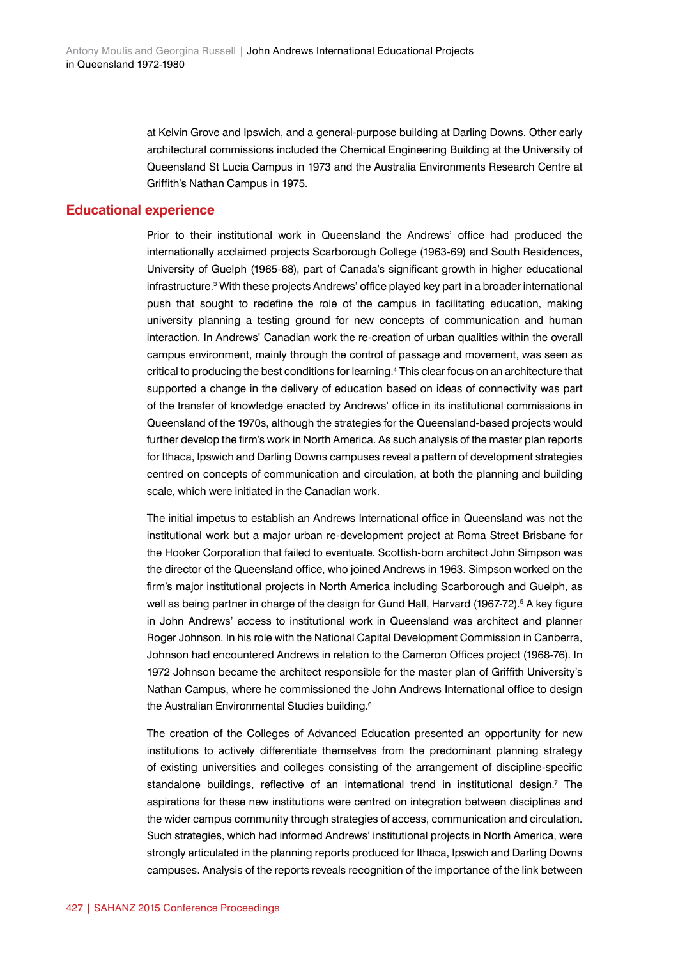at Kelvin Grove and Ipswich, and a general-purpose building at Darling Downs. Other early architectural commissions included the Chemical Engineering Building at the University of Queensland St Lucia Campus in 1973 and the Australia Environments Research Centre at Griffith's Nathan Campus in 1975.

### **Educational experience**

Prior to their institutional work in Queensland the Andrews' office had produced the internationally acclaimed projects Scarborough College (1963-69) and South Residences, University of Guelph (1965-68), part of Canada's significant growth in higher educational infrastructure.3 With these projects Andrews' office played key part in a broader international push that sought to redefine the role of the campus in facilitating education, making university planning a testing ground for new concepts of communication and human interaction. In Andrews' Canadian work the re-creation of urban qualities within the overall campus environment, mainly through the control of passage and movement, was seen as critical to producing the best conditions for learning.4 This clear focus on an architecture that supported a change in the delivery of education based on ideas of connectivity was part of the transfer of knowledge enacted by Andrews' office in its institutional commissions in Queensland of the 1970s, although the strategies for the Queensland-based projects would further develop the firm's work in North America. As such analysis of the master plan reports for Ithaca, Ipswich and Darling Downs campuses reveal a pattern of development strategies centred on concepts of communication and circulation, at both the planning and building scale, which were initiated in the Canadian work.

The initial impetus to establish an Andrews International office in Queensland was not the institutional work but a major urban re-development project at Roma Street Brisbane for the Hooker Corporation that failed to eventuate. Scottish-born architect John Simpson was the director of the Queensland office, who joined Andrews in 1963. Simpson worked on the firm's major institutional projects in North America including Scarborough and Guelph, as well as being partner in charge of the design for Gund Hall, Harvard (1967-72).<sup>5</sup> A key figure in John Andrews' access to institutional work in Queensland was architect and planner Roger Johnson. In his role with the National Capital Development Commission in Canberra, Johnson had encountered Andrews in relation to the Cameron Offices project (1968-76). In 1972 Johnson became the architect responsible for the master plan of Griffith University's Nathan Campus, where he commissioned the John Andrews International office to design the Australian Environmental Studies building.<sup>6</sup>

The creation of the Colleges of Advanced Education presented an opportunity for new institutions to actively differentiate themselves from the predominant planning strategy of existing universities and colleges consisting of the arrangement of discipline-specific standalone buildings, reflective of an international trend in institutional design.<sup>7</sup> The aspirations for these new institutions were centred on integration between disciplines and the wider campus community through strategies of access, communication and circulation. Such strategies, which had informed Andrews' institutional projects in North America, were strongly articulated in the planning reports produced for Ithaca, Ipswich and Darling Downs campuses. Analysis of the reports reveals recognition of the importance of the link between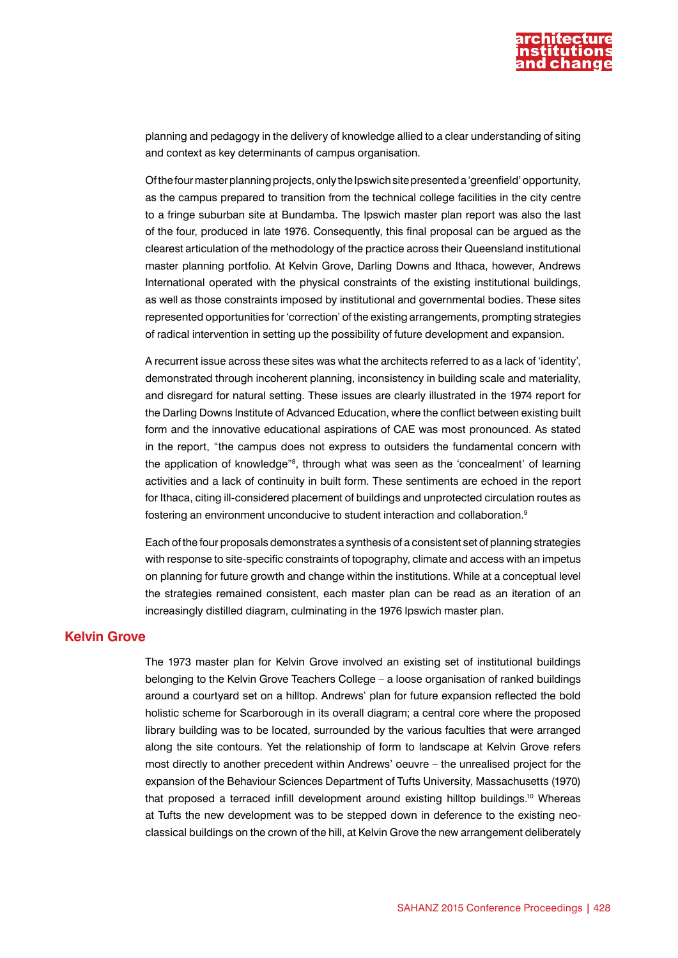

planning and pedagogy in the delivery of knowledge allied to a clear understanding of siting and context as key determinants of campus organisation.

Of the four master planning projects, only the Ipswich site presented a 'greenfield' opportunity, as the campus prepared to transition from the technical college facilities in the city centre to a fringe suburban site at Bundamba. The Ipswich master plan report was also the last of the four, produced in late 1976. Consequently, this final proposal can be argued as the clearest articulation of the methodology of the practice across their Queensland institutional master planning portfolio. At Kelvin Grove, Darling Downs and Ithaca, however, Andrews International operated with the physical constraints of the existing institutional buildings, as well as those constraints imposed by institutional and governmental bodies. These sites represented opportunities for 'correction' of the existing arrangements, prompting strategies of radical intervention in setting up the possibility of future development and expansion.

A recurrent issue across these sites was what the architects referred to as a lack of 'identity', demonstrated through incoherent planning, inconsistency in building scale and materiality, and disregard for natural setting. These issues are clearly illustrated in the 1974 report for the Darling Downs Institute of Advanced Education, where the conflict between existing built form and the innovative educational aspirations of CAE was most pronounced. As stated in the report, "the campus does not express to outsiders the fundamental concern with the application of knowledge"<sup>8</sup>, through what was seen as the 'concealment' of learning activities and a lack of continuity in built form. These sentiments are echoed in the report for Ithaca, citing ill-considered placement of buildings and unprotected circulation routes as fostering an environment unconducive to student interaction and collaboration.<sup>9</sup>

Each of the four proposals demonstrates a synthesis of a consistent set of planning strategies with response to site-specific constraints of topography, climate and access with an impetus on planning for future growth and change within the institutions. While at a conceptual level the strategies remained consistent, each master plan can be read as an iteration of an increasingly distilled diagram, culminating in the 1976 Ipswich master plan.

# **Kelvin Grove**

The 1973 master plan for Kelvin Grove involved an existing set of institutional buildings belonging to the Kelvin Grove Teachers College – a loose organisation of ranked buildings around a courtyard set on a hilltop. Andrews' plan for future expansion reflected the bold holistic scheme for Scarborough in its overall diagram; a central core where the proposed library building was to be located, surrounded by the various faculties that were arranged along the site contours. Yet the relationship of form to landscape at Kelvin Grove refers most directly to another precedent within Andrews' oeuvre – the unrealised project for the expansion of the Behaviour Sciences Department of Tufts University, Massachusetts (1970) that proposed a terraced infill development around existing hilltop buildings.10 Whereas at Tufts the new development was to be stepped down in deference to the existing neoclassical buildings on the crown of the hill, at Kelvin Grove the new arrangement deliberately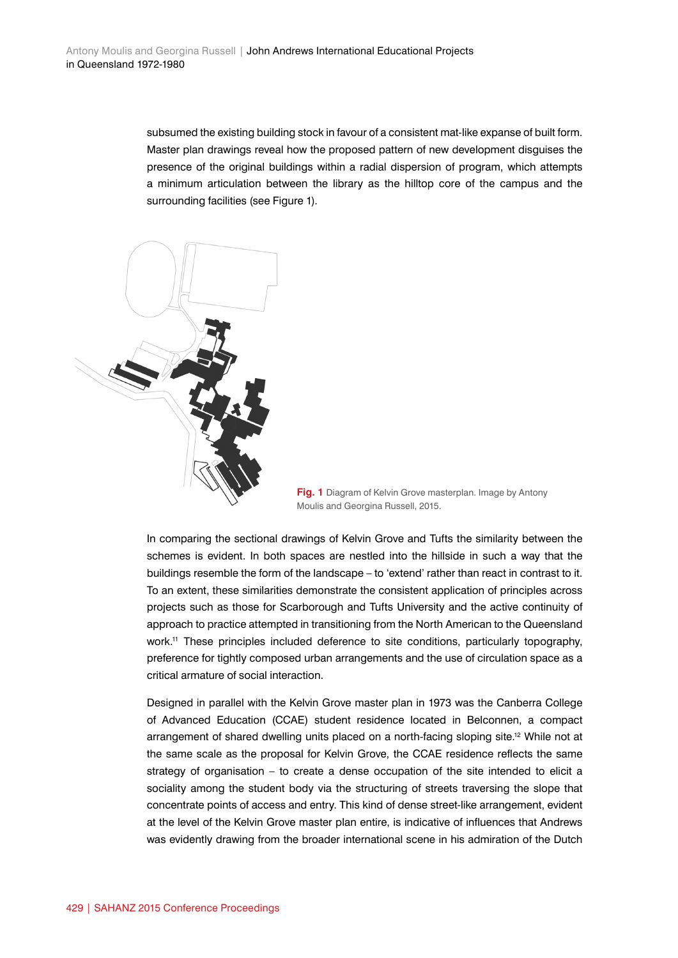subsumed the existing building stock in favour of a consistent mat-like expanse of built form. Master plan drawings reveal how the proposed pattern of new development disguises the presence of the original buildings within a radial dispersion of program, which attempts a minimum articulation between the library as the hilltop core of the campus and the surrounding facilities (see Figure 1).





In comparing the sectional drawings of Kelvin Grove and Tufts the similarity between the schemes is evident. In both spaces are nestled into the hillside in such a way that the buildings resemble the form of the landscape – to 'extend' rather than react in contrast to it. To an extent, these similarities demonstrate the consistent application of principles across projects such as those for Scarborough and Tufts University and the active continuity of approach to practice attempted in transitioning from the North American to the Queensland work.<sup>11</sup> These principles included deference to site conditions, particularly topography, preference for tightly composed urban arrangements and the use of circulation space as a critical armature of social interaction.

Designed in parallel with the Kelvin Grove master plan in 1973 was the Canberra College of Advanced Education (CCAE) student residence located in Belconnen, a compact arrangement of shared dwelling units placed on a north-facing sloping site.<sup>12</sup> While not at the same scale as the proposal for Kelvin Grove, the CCAE residence reflects the same strategy of organisation – to create a dense occupation of the site intended to elicit a sociality among the student body via the structuring of streets traversing the slope that concentrate points of access and entry. This kind of dense street-like arrangement, evident at the level of the Kelvin Grove master plan entire, is indicative of influences that Andrews was evidently drawing from the broader international scene in his admiration of the Dutch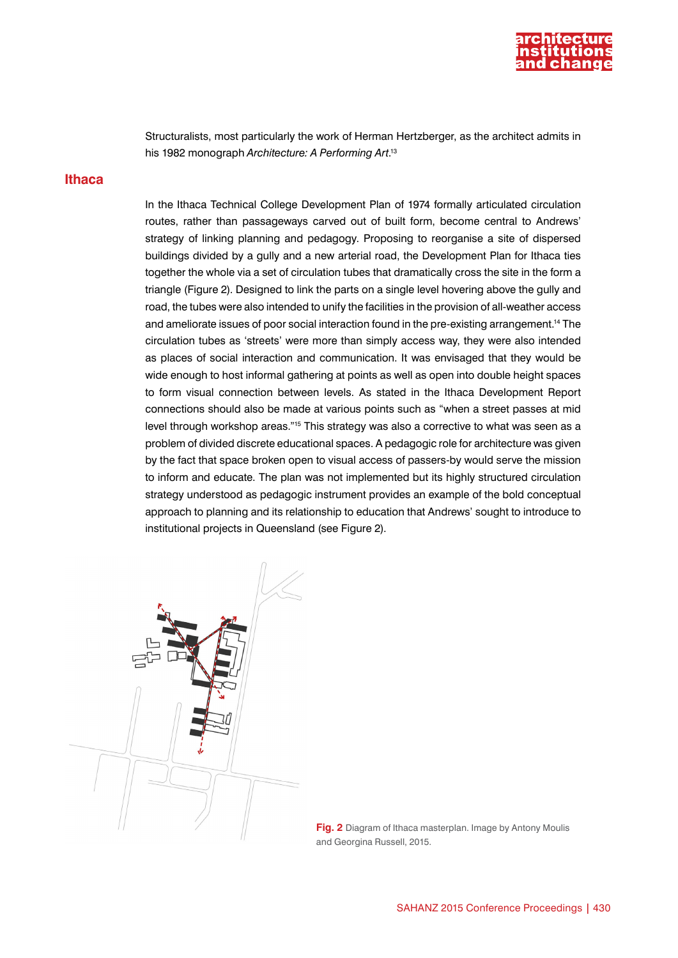

Structuralists, most particularly the work of Herman Hertzberger, as the architect admits in his 1982 monograph *Architecture: A Performing Art*. 13

#### **Ithaca**

In the Ithaca Technical College Development Plan of 1974 formally articulated circulation routes, rather than passageways carved out of built form, become central to Andrews' strategy of linking planning and pedagogy. Proposing to reorganise a site of dispersed buildings divided by a gully and a new arterial road, the Development Plan for Ithaca ties together the whole via a set of circulation tubes that dramatically cross the site in the form a triangle (Figure 2). Designed to link the parts on a single level hovering above the gully and road, the tubes were also intended to unify the facilities in the provision of all-weather access and ameliorate issues of poor social interaction found in the pre-existing arrangement.<sup>14</sup> The circulation tubes as 'streets' were more than simply access way, they were also intended as places of social interaction and communication. It was envisaged that they would be wide enough to host informal gathering at points as well as open into double height spaces to form visual connection between levels. As stated in the Ithaca Development Report connections should also be made at various points such as "when a street passes at mid level through workshop areas."<sup>15</sup> This strategy was also a corrective to what was seen as a problem of divided discrete educational spaces. A pedagogic role for architecture was given by the fact that space broken open to visual access of passers-by would serve the mission to inform and educate. The plan was not implemented but its highly structured circulation strategy understood as pedagogic instrument provides an example of the bold conceptual approach to planning and its relationship to education that Andrews' sought to introduce to institutional projects in Queensland (see Figure 2).



**Fig. 2** Diagram of Ithaca masterplan. Image by Antony Moulis and Georgina Russell, 2015.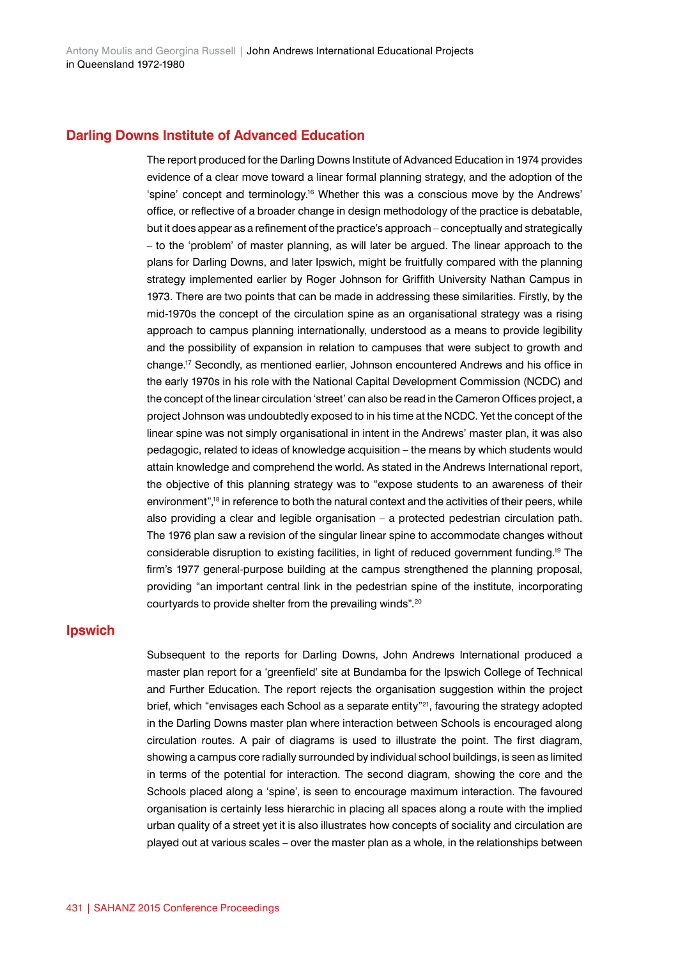#### **Darling Downs Institute of Advanced Education**

The report produced for the Darling Downs Institute of Advanced Education in 1974 provides evidence of a clear move toward a linear formal planning strategy, and the adoption of the 'spine' concept and terminology.16 Whether this was a conscious move by the Andrews' office, or reflective of a broader change in design methodology of the practice is debatable, but it does appear as a refinement of the practice's approach – conceptually and strategically – to the 'problem' of master planning, as will later be argued. The linear approach to the plans for Darling Downs, and later Ipswich, might be fruitfully compared with the planning strategy implemented earlier by Roger Johnson for Griffith University Nathan Campus in 1973. There are two points that can be made in addressing these similarities. Firstly, by the mid-1970s the concept of the circulation spine as an organisational strategy was a rising approach to campus planning internationally, understood as a means to provide legibility and the possibility of expansion in relation to campuses that were subject to growth and change.17 Secondly, as mentioned earlier, Johnson encountered Andrews and his office in the early 1970s in his role with the National Capital Development Commission (NCDC) and the concept of the linear circulation 'street' can also be read in the Cameron Offices project, a project Johnson was undoubtedly exposed to in his time at the NCDC. Yet the concept of the linear spine was not simply organisational in intent in the Andrews' master plan, it was also pedagogic, related to ideas of knowledge acquisition – the means by which students would attain knowledge and comprehend the world. As stated in the Andrews International report, the objective of this planning strategy was to "expose students to an awareness of their environment",<sup>18</sup> in reference to both the natural context and the activities of their peers, while also providing a clear and legible organisation – a protected pedestrian circulation path. The 1976 plan saw a revision of the singular linear spine to accommodate changes without considerable disruption to existing facilities, in light of reduced government funding.19 The firm's 1977 general-purpose building at the campus strengthened the planning proposal, providing "an important central link in the pedestrian spine of the institute, incorporating courtyards to provide shelter from the prevailing winds".<sup>20</sup>

# **Ipswich**

Subsequent to the reports for Darling Downs, John Andrews International produced a master plan report for a 'greenfield' site at Bundamba for the Ipswich College of Technical and Further Education. The report rejects the organisation suggestion within the project brief, which "envisages each School as a separate entity"<sup>21</sup>, favouring the strategy adopted in the Darling Downs master plan where interaction between Schools is encouraged along circulation routes. A pair of diagrams is used to illustrate the point. The first diagram, showing a campus core radially surrounded by individual school buildings, is seen as limited in terms of the potential for interaction. The second diagram, showing the core and the Schools placed along a 'spine', is seen to encourage maximum interaction. The favoured organisation is certainly less hierarchic in placing all spaces along a route with the implied urban quality of a street yet it is also illustrates how concepts of sociality and circulation are played out at various scales – over the master plan as a whole, in the relationships between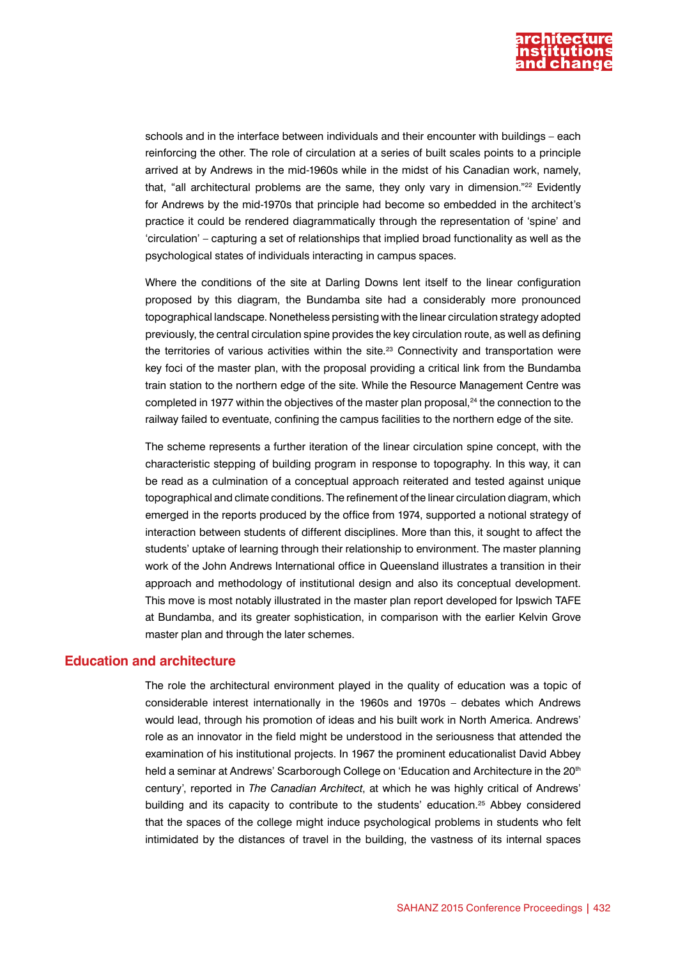

schools and in the interface between individuals and their encounter with buildings – each reinforcing the other. The role of circulation at a series of built scales points to a principle arrived at by Andrews in the mid-1960s while in the midst of his Canadian work, namely, that, "all architectural problems are the same, they only vary in dimension."<sup>22</sup> Evidently for Andrews by the mid-1970s that principle had become so embedded in the architect's practice it could be rendered diagrammatically through the representation of 'spine' and 'circulation' – capturing a set of relationships that implied broad functionality as well as the psychological states of individuals interacting in campus spaces.

Where the conditions of the site at Darling Downs lent itself to the linear configuration proposed by this diagram, the Bundamba site had a considerably more pronounced topographical landscape. Nonetheless persisting with the linear circulation strategy adopted previously, the central circulation spine provides the key circulation route, as well as defining the territories of various activities within the site.<sup>23</sup> Connectivity and transportation were key foci of the master plan, with the proposal providing a critical link from the Bundamba train station to the northern edge of the site. While the Resource Management Centre was completed in 1977 within the objectives of the master plan proposal,<sup>24</sup> the connection to the railway failed to eventuate, confining the campus facilities to the northern edge of the site.

The scheme represents a further iteration of the linear circulation spine concept, with the characteristic stepping of building program in response to topography. In this way, it can be read as a culmination of a conceptual approach reiterated and tested against unique topographical and climate conditions. The refinement of the linear circulation diagram, which emerged in the reports produced by the office from 1974, supported a notional strategy of interaction between students of different disciplines. More than this, it sought to affect the students' uptake of learning through their relationship to environment. The master planning work of the John Andrews International office in Queensland illustrates a transition in their approach and methodology of institutional design and also its conceptual development. This move is most notably illustrated in the master plan report developed for Ipswich TAFE at Bundamba, and its greater sophistication, in comparison with the earlier Kelvin Grove master plan and through the later schemes.

### **Education and architecture**

The role the architectural environment played in the quality of education was a topic of considerable interest internationally in the 1960s and 1970s – debates which Andrews would lead, through his promotion of ideas and his built work in North America. Andrews' role as an innovator in the field might be understood in the seriousness that attended the examination of his institutional projects. In 1967 the prominent educationalist David Abbey held a seminar at Andrews' Scarborough College on 'Education and Architecture in the 20<sup>th</sup> century', reported in *The Canadian Architect*, at which he was highly critical of Andrews' building and its capacity to contribute to the students' education.25 Abbey considered that the spaces of the college might induce psychological problems in students who felt intimidated by the distances of travel in the building, the vastness of its internal spaces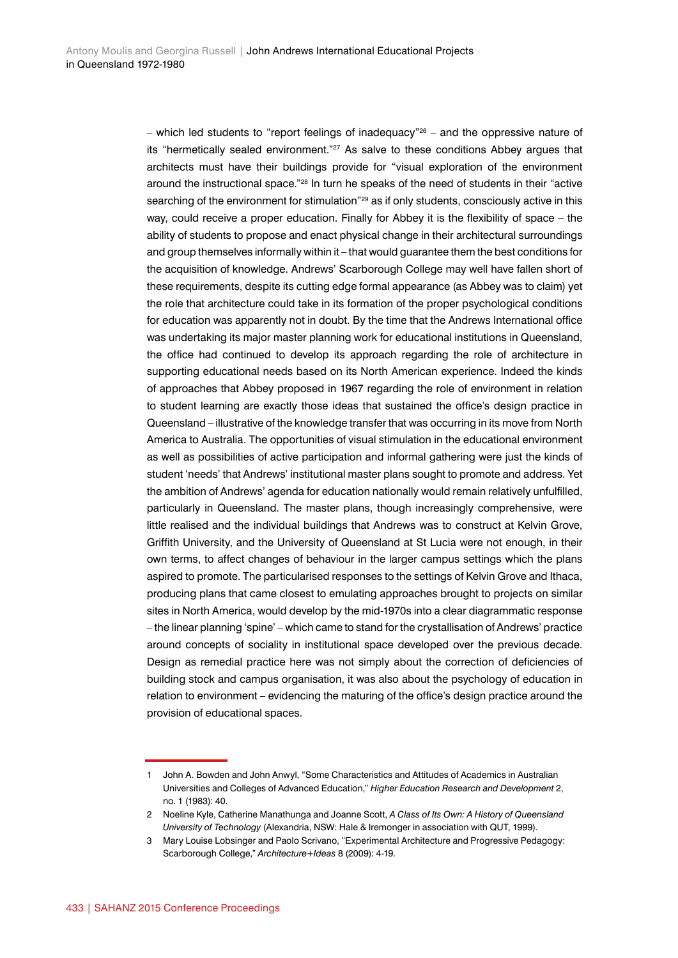– which led students to "report feelings of inadequacy"<sup>26</sup> – and the oppressive nature of its "hermetically sealed environment."27 As salve to these conditions Abbey argues that architects must have their buildings provide for "visual exploration of the environment around the instructional space."<sup>28</sup> In turn he speaks of the need of students in their "active searching of the environment for stimulation"<sup>29</sup> as if only students, consciously active in this way, could receive a proper education. Finally for Abbey it is the flexibility of space – the ability of students to propose and enact physical change in their architectural surroundings and group themselves informally within it – that would guarantee them the best conditions for the acquisition of knowledge. Andrews' Scarborough College may well have fallen short of these requirements, despite its cutting edge formal appearance (as Abbey was to claim) yet the role that architecture could take in its formation of the proper psychological conditions for education was apparently not in doubt. By the time that the Andrews International office was undertaking its major master planning work for educational institutions in Queensland, the office had continued to develop its approach regarding the role of architecture in supporting educational needs based on its North American experience. Indeed the kinds of approaches that Abbey proposed in 1967 regarding the role of environment in relation to student learning are exactly those ideas that sustained the office's design practice in Queensland – illustrative of the knowledge transfer that was occurring in its move from North America to Australia. The opportunities of visual stimulation in the educational environment as well as possibilities of active participation and informal gathering were just the kinds of student 'needs' that Andrews' institutional master plans sought to promote and address. Yet the ambition of Andrews' agenda for education nationally would remain relatively unfulfilled, particularly in Queensland. The master plans, though increasingly comprehensive, were little realised and the individual buildings that Andrews was to construct at Kelvin Grove, Griffith University, and the University of Queensland at St Lucia were not enough, in their own terms, to affect changes of behaviour in the larger campus settings which the plans aspired to promote. The particularised responses to the settings of Kelvin Grove and Ithaca, producing plans that came closest to emulating approaches brought to projects on similar sites in North America, would develop by the mid-1970s into a clear diagrammatic response – the linear planning 'spine' – which came to stand for the crystallisation of Andrews' practice around concepts of sociality in institutional space developed over the previous decade. Design as remedial practice here was not simply about the correction of deficiencies of building stock and campus organisation, it was also about the psychology of education in relation to environment – evidencing the maturing of the office's design practice around the provision of educational spaces.

<sup>1</sup> John A. Bowden and John Anwyl, "Some Characteristics and Attitudes of Academics in Australian Universities and Colleges of Advanced Education," *Higher Education Research and Development* 2, no. 1 (1983): 40.

<sup>2</sup> Noeline Kyle, Catherine Manathunga and Joanne Scott, *A Class of Its Own: A History of Queensland University of Technology* (Alexandria, NSW: Hale & Iremonger in association with QUT, 1999).

<sup>3</sup> Mary Louise Lobsinger and Paolo Scrivano, "Experimental Architecture and Progressive Pedagogy: Scarborough College," *Architecture+Ideas* 8 (2009): 4-19.